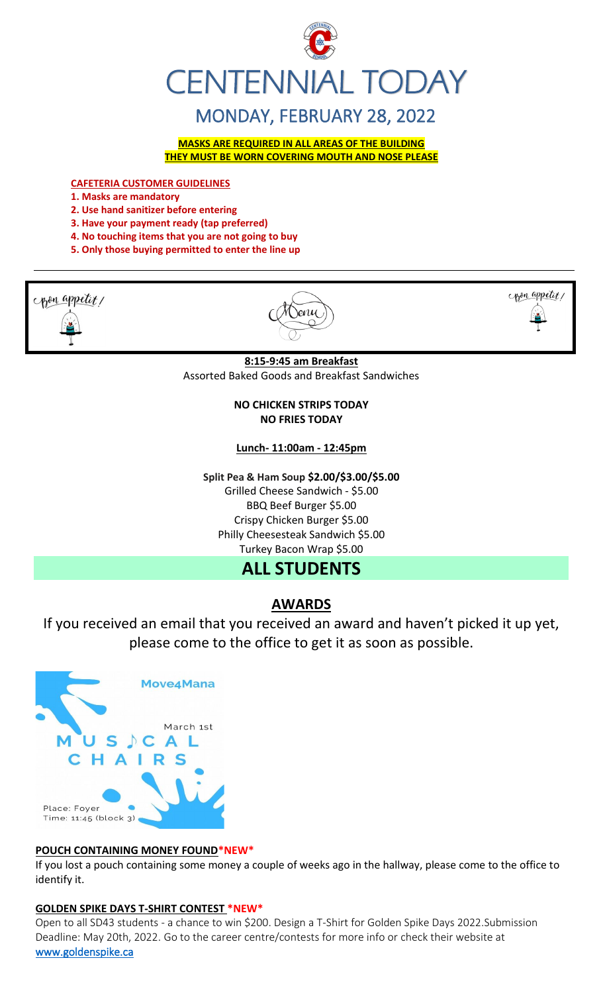

# MONDAY, FEBRUARY 28, 2022

**MASKS ARE REQUIRED IN ALL AREAS OF THE BUILDING THEY MUST BE WORN COVERING MOUTH AND NOSE PLEASE**

**CAFETERIA CUSTOMER GUIDELINES**

- **1. Masks are mandatory**
- **2. Use hand sanitizer before entering**
- **3. Have your payment ready (tap preferred)**
- **4. No touching items that you are not going to buy**
- **5. Only those buying permitted to enter the line up**







**8:15-9:45 am Breakfast** Assorted Baked Goods and Breakfast Sandwiches

> **NO CHICKEN STRIPS TODAY NO FRIES TODAY**

**Lunch- 11:00am - 12:45pm**

**Split Pea & Ham Soup \$2.00/\$3.00/\$5.00** Grilled Cheese Sandwich - \$5.00 BBQ Beef Burger \$5.00 Crispy Chicken Burger \$5.00 Philly Cheesesteak Sandwich \$5.00 Turkey Bacon Wrap \$5.00

# **ALL STUDENTS**

## **AWARDS**

If you received an email that you received an award and haven't picked it up yet, please come to the office to get it as soon as possible.



### **POUCH CONTAINING MONEY FOUND\*NEW\***

If you lost a pouch containing some money a couple of weeks ago in the hallway, please come to the office to identify it.

## **GOLDEN SPIKE DAYS T-SHIRT CONTEST \*NEW\***

Open to all SD43 students - a chance to win \$200. Design a T-Shirt for Golden Spike Days 2022.Submission Deadline: May 20th, 2022. Go to the career centre/contests for more info or check their website at [www.goldenspike.ca](http://www.goldenspike.ca/)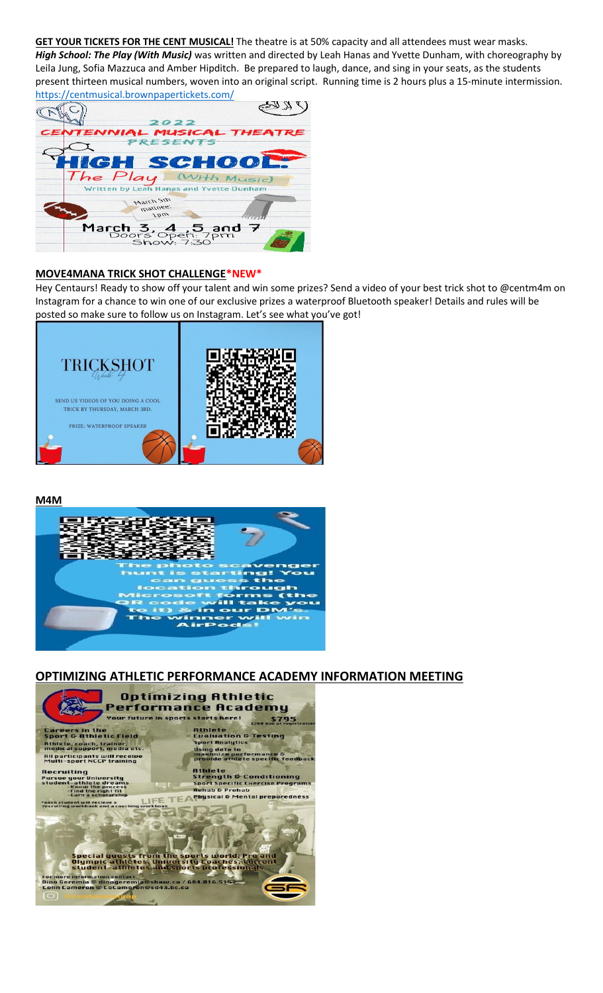**GET YOUR TICKETS FOR THE CENT MUSICAL!** The theatre is at 50% capacity and all attendees must wear masks. *High School: The Play (With Music)* was written and directed by Leah Hanas and Yvette Dunham, with choreography by Leila Jung, Sofia Mazzuca and Amber Hipditch. Be prepared to laugh, dance, and sing in your seats, as the students present thirteen musical numbers, woven into an original script. Running time is 2 hours plus a 15-minute intermission. <https://centmusical.brownpapertickets.com/>

| <u> illups.//centinusical.blowilpapeitickets.com/</u> |                              |                                                     |  |
|-------------------------------------------------------|------------------------------|-----------------------------------------------------|--|
|                                                       |                              |                                                     |  |
|                                                       | 2022                         |                                                     |  |
| <b>CENTENNIAL MUSICAL THEATRE</b>                     |                              |                                                     |  |
|                                                       | <b>PRESENTS</b>              |                                                     |  |
|                                                       |                              |                                                     |  |
| <b>HIGH SCHOOL</b>                                    |                              |                                                     |  |
| The Play (With Music)                                 |                              |                                                     |  |
|                                                       |                              | Written by Leah Hanas and Yvette Dunham             |  |
|                                                       | Alset Sth<br>.39nitem<br>nat |                                                     |  |
|                                                       |                              | March 3, 4, 5 and 7<br>Doors Open: 7pm<br>Show: 730 |  |
|                                                       |                              |                                                     |  |

### **MOVE4MANA TRICK SHOT CHALLENGE\*NEW\***

Hey Centaurs! Ready to show off your talent and win some prizes? Send a video of your best trick shot to @centm4m on Instagram for a chance to win one of our exclusive prizes a waterproof Bluetooth speaker! Details and rules will be posted so make sure to follow us on Instagram. Let's see what you've got!



**M4M**



## **OPTIMIZING ATHLETIC PERFORMANCE ACADEMY INFORMATION MEETING**

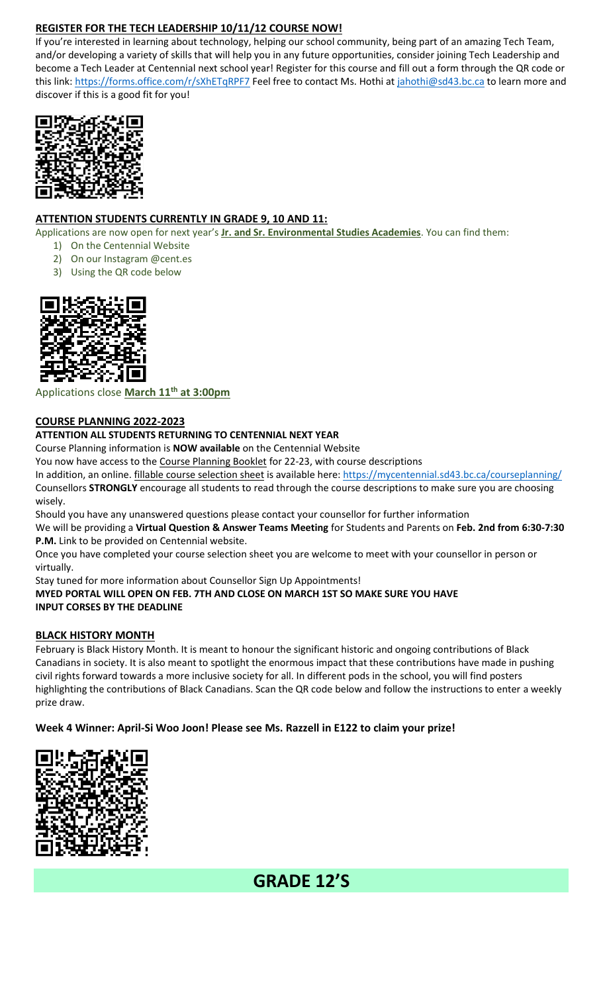## **REGISTER FOR THE TECH LEADERSHIP 10/11/12 COURSE NOW!**

If you're interested in learning about technology, helping our school community, being part of an amazing Tech Team, and/or developing a variety of skills that will help you in any future opportunities, consider joining Tech Leadership and become a Tech Leader at Centennial next school year! Register for this course and fill out a form through the QR code or this link:<https://forms.office.com/r/sXhETqRPF7> Feel free to contact Ms. Hothi at [jahothi@sd43.bc.ca](mailto:jahothi@sd43.bc.ca) to learn more and discover if this is a good fit for you!



## **ATTENTION STUDENTS CURRENTLY IN GRADE 9, 10 AND 11:**

- Applications are now open for next year's **Jr. and Sr. Environmental Studies Academies**. You can find them:
	- 1) On the Centennial Website
	- 2) On our Instagram @cent.es
	- 3) Using the QR code below



## Applications close **March 11th at 3:00pm**

### **COURSE PLANNING 2022-2023**

## **ATTENTION ALL STUDENTS RETURNING TO CENTENNIAL NEXT YEAR**

Course Planning information is **NOW available** on the Centennial Website

You now have access to the Course Planning Booklet for 22-23, with course descriptions

In addition, an online. **fillable course selection sheet** is available here:<https://mycentennial.sd43.bc.ca/courseplanning/> Counsellors **STRONGLY** encourage all students to read through the course descriptions to make sure you are choosing wisely.

Should you have any unanswered questions please contact your counsellor for further information

We will be providing a **Virtual Question & Answer Teams Meeting** for Students and Parents on **Feb. 2nd from 6:30-7:30 P.M.** Link to be provided on Centennial website.

Once you have completed your course selection sheet you are welcome to meet with your counsellor in person or virtually.

Stay tuned for more information about Counsellor Sign Up Appointments! **MYED PORTAL WILL OPEN ON FEB. 7TH AND CLOSE ON MARCH 1ST SO MAKE SURE YOU HAVE INPUT CORSES BY THE DEADLINE** 

### **BLACK HISTORY MONTH**

February is Black History Month. It is meant to honour the significant historic and ongoing contributions of Black Canadians in society. It is also meant to spotlight the enormous impact that these contributions have made in pushing civil rights forward towards a more inclusive society for all. In different pods in the school, you will find posters highlighting the contributions of Black Canadians. Scan the QR code below and follow the instructions to enter a weekly prize draw.

### **Week 4 Winner: April-Si Woo Joon! Please see Ms. Razzell in E122 to claim your prize!**



# **GRADE 12'S**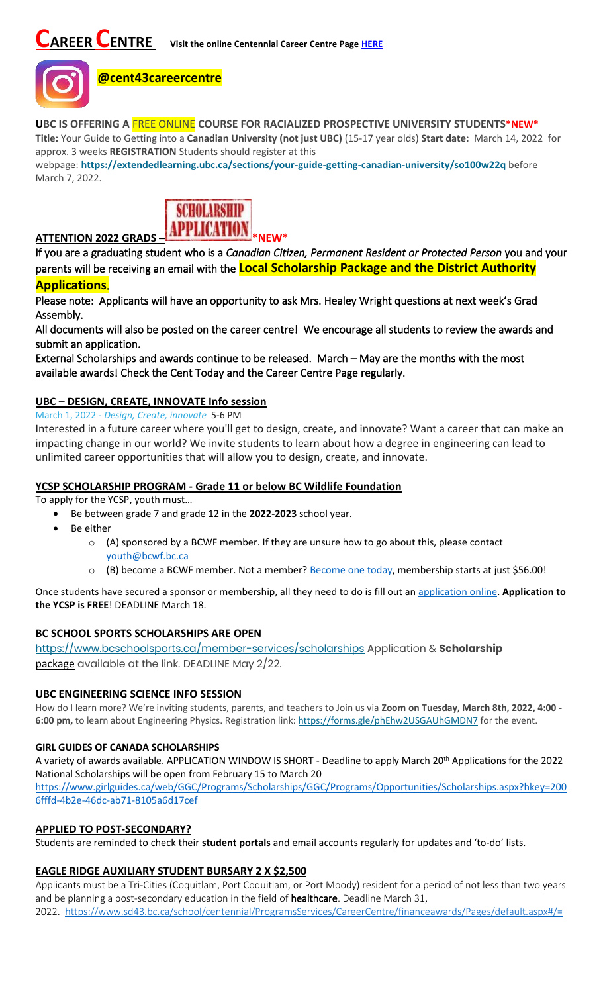

## **@cent43careercentre**

**UBC IS OFFERING A** FREE ONLINE **COURSE FOR RACIALIZED PROSPECTIVE UNIVERSITY STUDENTS\*NEW\***

**Title:** Your Guide to Getting into a **Canadian University (not just UBC)** (15-17 year olds) **Start date:** March 14, 2022 for approx. 3 weeks **REGISTRATION** Students should register at this

webpage: **<https://extendedlearning.ubc.ca/sections/your-guide-getting-canadian-university/so100w22q>** before March 7, 2022.



If you are a graduating student who is a *Canadian Citizen, Permanent Resident or Protected Person* you and your parents will be receiving an email with the **Local Scholarship Package and the District Authority** 

## **Applications**.

Please note: Applicants will have an opportunity to ask Mrs. Healey Wright questions at next week's Grad Assembly.

All documents will also be posted on the career centre! We encourage all students to review the awards and submit an application.

External Scholarships and awards continue to be released. March – May are the months with the most available awards! Check the Cent Today and the Career Centre Page regularly.

## **UBC – DESIGN, CREATE, INNOVATE Info session**

#### March 1, 2022 - *[Design, Create, innovate](https://usend.ubc.ca/sendy/l/rIVID892cGlXFhKkqDAP4pPw/CoLQGWp5F1aXR61frGQTLg/2NVMXaF6kwoqb0Zu2zyabA)* 5-6 PM

Interested in a future career where you'll get to design, create, and innovate? Want a career that can make an impacting change in our world? We invite students to learn about how a degree in engineering can lead to unlimited career opportunities that will allow you to design, create, and innovate.

### **YCSP SCHOLARSHIP PROGRAM - Grade 11 or below BC Wildlife Foundation**

To apply for the YCSP, youth must…

• Be between grade 7 and grade 12 in the **2022-2023** school year.

- Be either
	- $\circ$  (A) sponsored by a BCWF member. If they are unsure how to go about this, please contact [youth@bcwf.bc.ca](mailto:youth@bcwf.bc.ca)
	- o (B) become a BCWF member. Not a member? [Become one today,](https://bcwf.bc.ca/membership/) membership starts at just \$56.00!

Once students have secured a sponsor or membership, all they need to do is fill out a[n application online.](https://bcwf.bc.ca/young-conservationist-scholarship-program/) **Application to the YCSP is FREE**! DEADLINE March 18.

### **BC SCHOOL SPORTS SCHOLARSHIPS ARE OPEN**

<https://www.bcschoolsports.ca/member-services/scholarships> Application & **Scholarship**  package available at the link. DEADLINE May 2/22.

### **UBC ENGINEERING SCIENCE INFO SESSION**

How do I learn more? We're inviting students, parents, and teachers to Join us via **Zoom on Tuesday, March 8th, 2022, 4:00 - 6:00 pm,** to learn about Engineering Physics. Registration link: <https://forms.gle/phEhw2USGAUhGMDN7> for the event.

#### **GIRL GUIDES OF CANADA SCHOLARSHIPS**

A variety of awards available. APPLICATION WINDOW IS SHORT - Deadline to apply March 20<sup>th</sup> Applications for the 2022 National Scholarships will be open from February 15 to March 20

[https://www.girlguides.ca/web/GGC/Programs/Scholarships/GGC/Programs/Opportunities/Scholarships.aspx?hkey=200](https://www.girlguides.ca/web/GGC/Programs/Scholarships/GGC/Programs/Opportunities/Scholarships.aspx?hkey=2006fffd-4b2e-​46dc-ab71-8105a6d17cef) [6fffd-4b2e-46dc-ab71-8105a6d17cef](https://www.girlguides.ca/web/GGC/Programs/Scholarships/GGC/Programs/Opportunities/Scholarships.aspx?hkey=2006fffd-4b2e-​46dc-ab71-8105a6d17cef)

### **APPLIED TO POST-SECONDARY?**

Students are reminded to check their **student portals** and email accounts regularly for updates and 'to-do' lists.

### **EAGLE RIDGE AUXILIARY STUDENT BURSARY 2 X \$2,500**

Applicants must be a Tri-Cities (Coquitlam, Port Coquitlam, or Port Moody) resident for a period of not less than two years and be planning a post-secondary education in the field of healthcare. Deadline March 31, 2022. <https://www.sd43.bc.ca/school/centennial/ProgramsServices/CareerCentre/financeawards/Pages/default.aspx#/=>